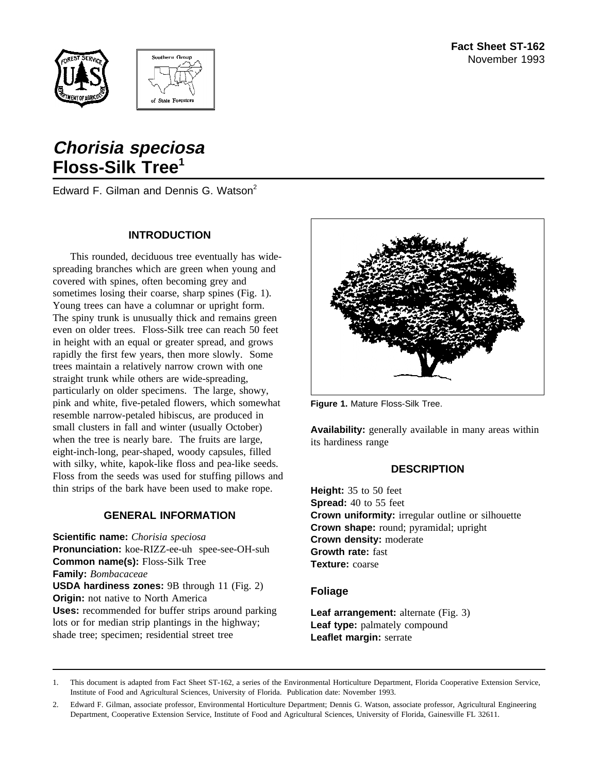



# **Chorisia speciosa Floss-Silk Tree<sup>1</sup>**

Edward F. Gilman and Dennis G. Watson<sup>2</sup>

## **INTRODUCTION**

This rounded, deciduous tree eventually has widespreading branches which are green when young and covered with spines, often becoming grey and sometimes losing their coarse, sharp spines (Fig. 1). Young trees can have a columnar or upright form. The spiny trunk is unusually thick and remains green even on older trees. Floss-Silk tree can reach 50 feet in height with an equal or greater spread, and grows rapidly the first few years, then more slowly. Some trees maintain a relatively narrow crown with one straight trunk while others are wide-spreading, particularly on older specimens. The large, showy, pink and white, five-petaled flowers, which somewhat resemble narrow-petaled hibiscus, are produced in small clusters in fall and winter (usually October) when the tree is nearly bare. The fruits are large, eight-inch-long, pear-shaped, woody capsules, filled with silky, white, kapok-like floss and pea-like seeds. Floss from the seeds was used for stuffing pillows and thin strips of the bark have been used to make rope.

## **GENERAL INFORMATION**

**Scientific name:** *Chorisia speciosa* **Pronunciation:** koe-RIZZ-ee-uh spee-see-OH-suh **Common name(s):** Floss-Silk Tree **Family:** *Bombacaceae* **USDA hardiness zones:** 9B through 11 (Fig. 2) **Origin:** not native to North America **Uses:** recommended for buffer strips around parking lots or for median strip plantings in the highway; shade tree; specimen; residential street tree



**Figure 1.** Mature Floss-Silk Tree.

**Availability:** generally available in many areas within its hardiness range

## **DESCRIPTION**

**Height:** 35 to 50 feet **Spread:** 40 to 55 feet **Crown uniformity:** irregular outline or silhouette **Crown shape:** round; pyramidal; upright **Crown density:** moderate **Growth rate:** fast **Texture:** coarse

## **Foliage**

**Leaf arrangement:** alternate (Fig. 3) **Leaf type:** palmately compound **Leaflet margin:** serrate

1. This document is adapted from Fact Sheet ST-162, a series of the Environmental Horticulture Department, Florida Cooperative Extension Service, Institute of Food and Agricultural Sciences, University of Florida. Publication date: November 1993.

<sup>2.</sup> Edward F. Gilman, associate professor, Environmental Horticulture Department; Dennis G. Watson, associate professor, Agricultural Engineering Department, Cooperative Extension Service, Institute of Food and Agricultural Sciences, University of Florida, Gainesville FL 32611.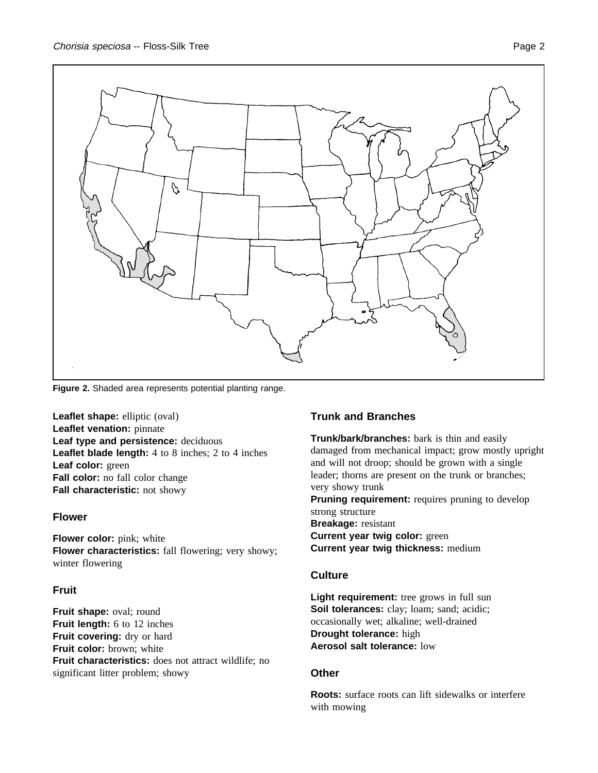

**Figure 2.** Shaded area represents potential planting range.

**Leaflet shape:** elliptic (oval) **Leaflet venation:** pinnate **Leaf type and persistence:** deciduous **Leaflet blade length:** 4 to 8 inches; 2 to 4 inches **Leaf color:** green **Fall color:** no fall color change **Fall characteristic:** not showy

## **Flower**

**Flower color:** pink; white **Flower characteristics:** fall flowering; very showy; winter flowering

## **Fruit**

**Fruit shape:** oval; round **Fruit length:** 6 to 12 inches **Fruit covering:** dry or hard **Fruit color:** brown; white **Fruit characteristics:** does not attract wildlife; no significant litter problem; showy

## **Trunk and Branches**

**Trunk/bark/branches:** bark is thin and easily damaged from mechanical impact; grow mostly upright and will not droop; should be grown with a single leader; thorns are present on the trunk or branches; very showy trunk **Pruning requirement:** requires pruning to develop strong structure **Breakage:** resistant **Current year twig color:** green **Current year twig thickness:** medium

## **Culture**

**Light requirement:** tree grows in full sun Soil tolerances: clay; loam; sand; acidic; occasionally wet; alkaline; well-drained **Drought tolerance:** high **Aerosol salt tolerance:** low

## **Other**

**Roots:** surface roots can lift sidewalks or interfere with mowing